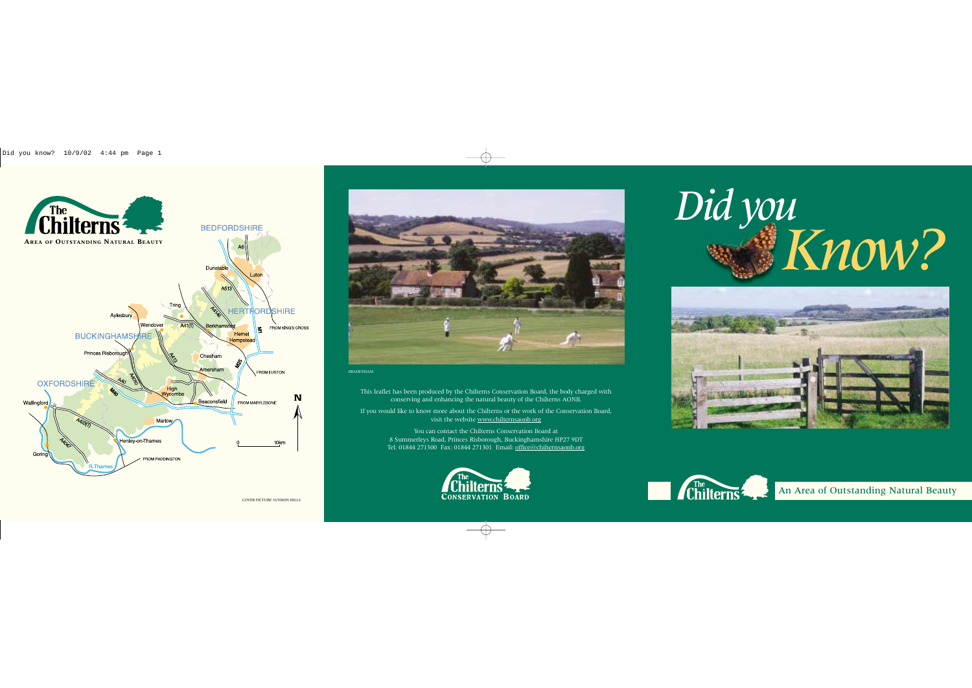



If you would like to know more about the Chilterns or the work of the Conservation Board, visit the website www.chilternsaonb.org

This leaflet has been produced by the Chilterns Conservation Board, the body charged with conserving and enhancing the natural beauty of the Chilterns AONB.

> You can contact the Chilterns Conservation Board at 8 Summerleys Road, Princes Risborough, Buckinghamshire HP27 9DT Tel: 01844 271300 Fax: 01844 271301 Email: office@chilternsaonb.org









BRADENHAM

Did you<br>Know?